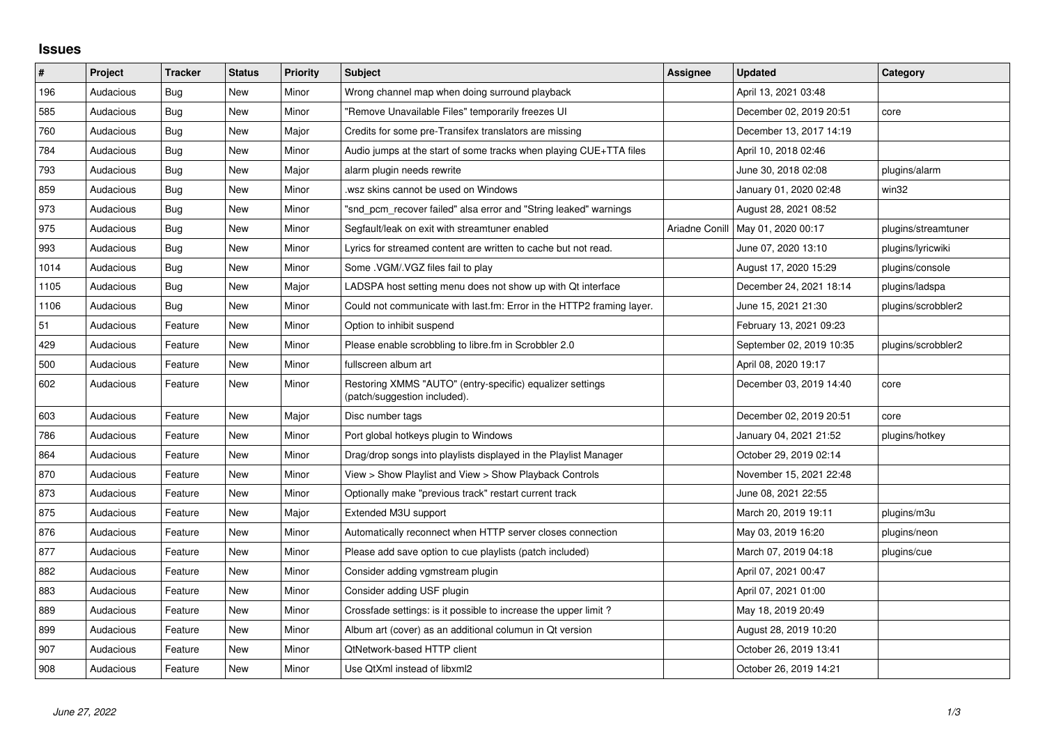## **Issues**

| $\vert$ # | Project   | <b>Tracker</b> | <b>Status</b> | <b>Priority</b> | <b>Subject</b>                                                                            | <b>Assignee</b> | <b>Updated</b>           | Category            |
|-----------|-----------|----------------|---------------|-----------------|-------------------------------------------------------------------------------------------|-----------------|--------------------------|---------------------|
| 196       | Audacious | Bug            | <b>New</b>    | Minor           | Wrong channel map when doing surround playback                                            |                 | April 13, 2021 03:48     |                     |
| 585       | Audacious | <b>Bug</b>     | <b>New</b>    | Minor           | "Remove Unavailable Files" temporarily freezes UI                                         |                 | December 02, 2019 20:51  | core                |
| 760       | Audacious | <b>Bug</b>     | New           | Major           | Credits for some pre-Transifex translators are missing                                    |                 | December 13, 2017 14:19  |                     |
| 784       | Audacious | <b>Bug</b>     | <b>New</b>    | Minor           | Audio jumps at the start of some tracks when playing CUE+TTA files                        |                 | April 10, 2018 02:46     |                     |
| 793       | Audacious | <b>Bug</b>     | <b>New</b>    | Major           | alarm plugin needs rewrite                                                                |                 | June 30, 2018 02:08      | plugins/alarm       |
| 859       | Audacious | <b>Bug</b>     | <b>New</b>    | Minor           | wsz skins cannot be used on Windows                                                       |                 | January 01, 2020 02:48   | win32               |
| 973       | Audacious | <b>Bug</b>     | <b>New</b>    | Minor           | "snd_pcm_recover failed" alsa error and "String leaked" warnings                          |                 | August 28, 2021 08:52    |                     |
| 975       | Audacious | Bug            | New           | Minor           | Segfault/leak on exit with streamtuner enabled                                            | Ariadne Conill  | May 01, 2020 00:17       | plugins/streamtuner |
| 993       | Audacious | Bug            | <b>New</b>    | Minor           | Lyrics for streamed content are written to cache but not read.                            |                 | June 07, 2020 13:10      | plugins/lyricwiki   |
| 1014      | Audacious | Bug            | <b>New</b>    | Minor           | Some . VGM/. VGZ files fail to play                                                       |                 | August 17, 2020 15:29    | plugins/console     |
| 1105      | Audacious | <b>Bug</b>     | <b>New</b>    | Major           | LADSPA host setting menu does not show up with Qt interface                               |                 | December 24, 2021 18:14  | plugins/ladspa      |
| 1106      | Audacious | Bug            | <b>New</b>    | Minor           | Could not communicate with last.fm: Error in the HTTP2 framing layer.                     |                 | June 15, 2021 21:30      | plugins/scrobbler2  |
| 51        | Audacious | Feature        | <b>New</b>    | Minor           | Option to inhibit suspend                                                                 |                 | February 13, 2021 09:23  |                     |
| 429       | Audacious | Feature        | <b>New</b>    | Minor           | Please enable scrobbling to libre.fm in Scrobbler 2.0                                     |                 | September 02, 2019 10:35 | plugins/scrobbler2  |
| 500       | Audacious | Feature        | <b>New</b>    | Minor           | fullscreen album art                                                                      |                 | April 08, 2020 19:17     |                     |
| 602       | Audacious | Feature        | New           | Minor           | Restoring XMMS "AUTO" (entry-specific) equalizer settings<br>(patch/suggestion included). |                 | December 03, 2019 14:40  | core                |
| 603       | Audacious | Feature        | <b>New</b>    | Major           | Disc number tags                                                                          |                 | December 02, 2019 20:51  | core                |
| 786       | Audacious | Feature        | <b>New</b>    | Minor           | Port global hotkeys plugin to Windows                                                     |                 | January 04, 2021 21:52   | plugins/hotkey      |
| 864       | Audacious | Feature        | <b>New</b>    | Minor           | Drag/drop songs into playlists displayed in the Playlist Manager                          |                 | October 29, 2019 02:14   |                     |
| 870       | Audacious | Feature        | New           | Minor           | View > Show Playlist and View > Show Playback Controls                                    |                 | November 15, 2021 22:48  |                     |
| 873       | Audacious | Feature        | <b>New</b>    | Minor           | Optionally make "previous track" restart current track                                    |                 | June 08, 2021 22:55      |                     |
| 875       | Audacious | Feature        | <b>New</b>    | Major           | Extended M3U support                                                                      |                 | March 20, 2019 19:11     | plugins/m3u         |
| 876       | Audacious | Feature        | <b>New</b>    | Minor           | Automatically reconnect when HTTP server closes connection                                |                 | May 03, 2019 16:20       | plugins/neon        |
| 877       | Audacious | Feature        | <b>New</b>    | Minor           | Please add save option to cue playlists (patch included)                                  |                 | March 07, 2019 04:18     | plugins/cue         |
| 882       | Audacious | Feature        | <b>New</b>    | Minor           | Consider adding vgmstream plugin                                                          |                 | April 07, 2021 00:47     |                     |
| 883       | Audacious | Feature        | New           | Minor           | Consider adding USF plugin                                                                |                 | April 07, 2021 01:00     |                     |
| 889       | Audacious | Feature        | <b>New</b>    | Minor           | Crossfade settings: is it possible to increase the upper limit?                           |                 | May 18, 2019 20:49       |                     |
| 899       | Audacious | Feature        | <b>New</b>    | Minor           | Album art (cover) as an additional columun in Qt version                                  |                 | August 28, 2019 10:20    |                     |
| 907       | Audacious | Feature        | <b>New</b>    | Minor           | QtNetwork-based HTTP client                                                               |                 | October 26, 2019 13:41   |                     |
| 908       | Audacious | Feature        | <b>New</b>    | Minor           | Use QtXml instead of libxml2                                                              |                 | October 26, 2019 14:21   |                     |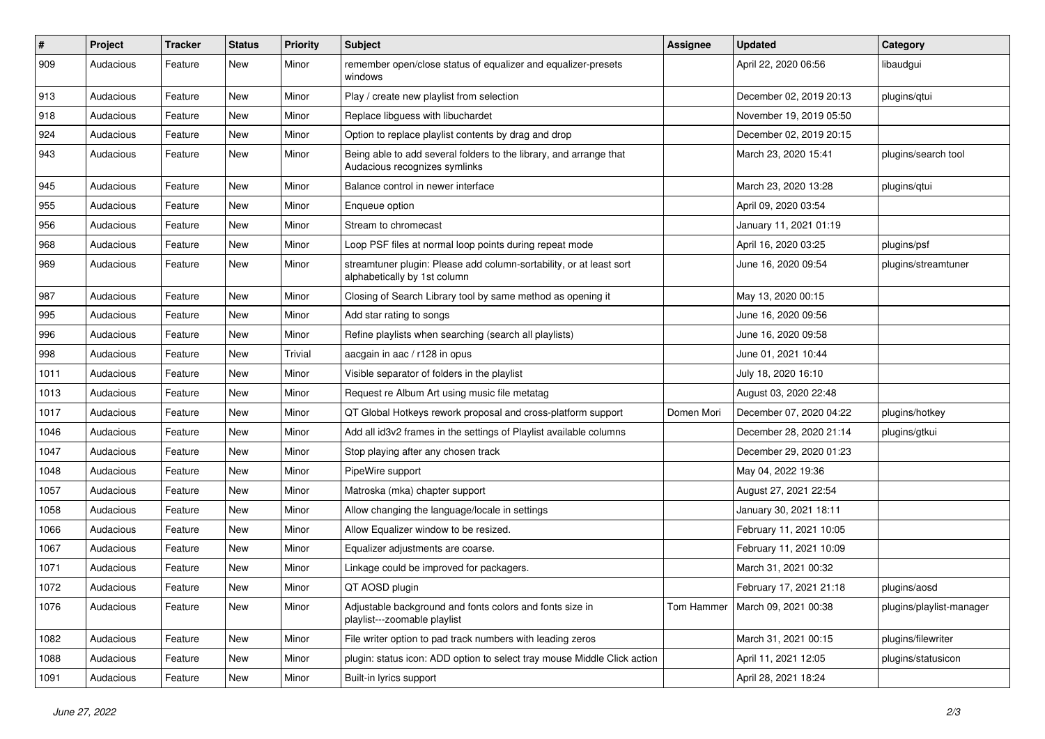| #    | Project   | <b>Tracker</b> | <b>Status</b> | <b>Priority</b> | <b>Subject</b>                                                                                      | <b>Assignee</b> | <b>Updated</b>                    | Category                 |
|------|-----------|----------------|---------------|-----------------|-----------------------------------------------------------------------------------------------------|-----------------|-----------------------------------|--------------------------|
| 909  | Audacious | Feature        | New           | Minor           | remember open/close status of equalizer and equalizer-presets<br>windows                            |                 | April 22, 2020 06:56              | libaudgui                |
| 913  | Audacious | Feature        | New           | Minor           | Play / create new playlist from selection                                                           |                 | December 02, 2019 20:13           | plugins/qtui             |
| 918  | Audacious | Feature        | <b>New</b>    | Minor           | Replace libguess with libuchardet                                                                   |                 | November 19, 2019 05:50           |                          |
| 924  | Audacious | Feature        | New           | Minor           | Option to replace playlist contents by drag and drop                                                |                 | December 02, 2019 20:15           |                          |
| 943  | Audacious | Feature        | New           | Minor           | Being able to add several folders to the library, and arrange that<br>Audacious recognizes symlinks |                 | March 23, 2020 15:41              | plugins/search tool      |
| 945  | Audacious | Feature        | New           | Minor           | Balance control in newer interface                                                                  |                 | March 23, 2020 13:28              | plugins/qtui             |
| 955  | Audacious | Feature        | New           | Minor           | Enqueue option                                                                                      |                 | April 09, 2020 03:54              |                          |
| 956  | Audacious | Feature        | <b>New</b>    | Minor           | Stream to chromecast                                                                                |                 | January 11, 2021 01:19            |                          |
| 968  | Audacious | Feature        | New           | Minor           | Loop PSF files at normal loop points during repeat mode                                             |                 | April 16, 2020 03:25              | plugins/psf              |
| 969  | Audacious | Feature        | New           | Minor           | streamtuner plugin: Please add column-sortability, or at least sort<br>alphabetically by 1st column |                 | June 16, 2020 09:54               | plugins/streamtuner      |
| 987  | Audacious | Feature        | <b>New</b>    | Minor           | Closing of Search Library tool by same method as opening it                                         |                 | May 13, 2020 00:15                |                          |
| 995  | Audacious | Feature        | <b>New</b>    | Minor           | Add star rating to songs                                                                            |                 | June 16, 2020 09:56               |                          |
| 996  | Audacious | Feature        | New           | Minor           | Refine playlists when searching (search all playlists)                                              |                 | June 16, 2020 09:58               |                          |
| 998  | Audacious | Feature        | New           | Trivial         | aacgain in aac / r128 in opus                                                                       |                 | June 01, 2021 10:44               |                          |
| 1011 | Audacious | Feature        | <b>New</b>    | Minor           | Visible separator of folders in the playlist                                                        |                 | July 18, 2020 16:10               |                          |
| 1013 | Audacious | Feature        | New           | Minor           | Request re Album Art using music file metatag                                                       |                 | August 03, 2020 22:48             |                          |
| 1017 | Audacious | Feature        | New           | Minor           | QT Global Hotkeys rework proposal and cross-platform support                                        | Domen Mori      | December 07, 2020 04:22           | plugins/hotkey           |
| 1046 | Audacious | Feature        | New           | Minor           | Add all id3v2 frames in the settings of Playlist available columns                                  |                 | December 28, 2020 21:14           | plugins/gtkui            |
| 1047 | Audacious | Feature        | New           | Minor           | Stop playing after any chosen track                                                                 |                 | December 29, 2020 01:23           |                          |
| 1048 | Audacious | Feature        | <b>New</b>    | Minor           | PipeWire support                                                                                    |                 | May 04, 2022 19:36                |                          |
| 1057 | Audacious | Feature        | New           | Minor           | Matroska (mka) chapter support                                                                      |                 | August 27, 2021 22:54             |                          |
| 1058 | Audacious | Feature        | <b>New</b>    | Minor           | Allow changing the language/locale in settings                                                      |                 | January 30, 2021 18:11            |                          |
| 1066 | Audacious | Feature        | New           | Minor           | Allow Equalizer window to be resized.                                                               |                 | February 11, 2021 10:05           |                          |
| 1067 | Audacious | Feature        | New           | Minor           | Equalizer adjustments are coarse.                                                                   |                 | February 11, 2021 10:09           |                          |
| 1071 | Audacious | Feature        | <b>New</b>    | Minor           | Linkage could be improved for packagers.                                                            |                 | March 31, 2021 00:32              |                          |
| 1072 | Audacious | Feature        | New           | Minor           | QT AOSD plugin                                                                                      |                 | February 17, 2021 21:18           | plugins/aosd             |
| 1076 | Audacious | Feature        | New           | Minor           | Adjustable background and fonts colors and fonts size in<br>playlist---zoomable playlist            |                 | Tom Hammer   March 09, 2021 00:38 | plugins/playlist-manager |
| 1082 | Audacious | Feature        | New           | Minor           | File writer option to pad track numbers with leading zeros                                          |                 | March 31, 2021 00:15              | plugins/filewriter       |
| 1088 | Audacious | Feature        | New           | Minor           | plugin: status icon: ADD option to select tray mouse Middle Click action                            |                 | April 11, 2021 12:05              | plugins/statusicon       |
| 1091 | Audacious | Feature        | New           | Minor           | Built-in lyrics support                                                                             |                 | April 28, 2021 18:24              |                          |